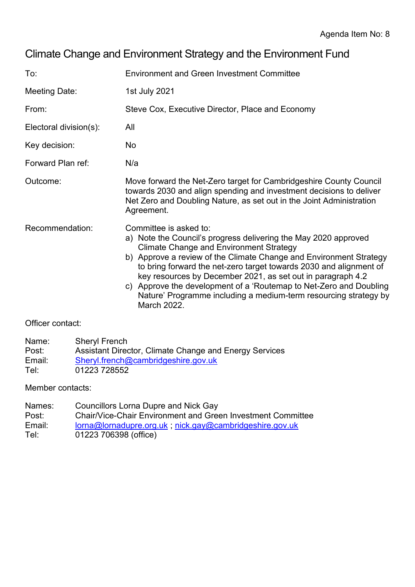# Climate Change and Environment Strategy and the Environment Fund

| To:                    | <b>Environment and Green Investment Committee</b>                                                                                                                                                                                                                                                                                                                                                                                                                                                               |  |  |  |  |
|------------------------|-----------------------------------------------------------------------------------------------------------------------------------------------------------------------------------------------------------------------------------------------------------------------------------------------------------------------------------------------------------------------------------------------------------------------------------------------------------------------------------------------------------------|--|--|--|--|
| Meeting Date:          | 1st July 2021                                                                                                                                                                                                                                                                                                                                                                                                                                                                                                   |  |  |  |  |
| From:                  | Steve Cox, Executive Director, Place and Economy                                                                                                                                                                                                                                                                                                                                                                                                                                                                |  |  |  |  |
| Electoral division(s): | All                                                                                                                                                                                                                                                                                                                                                                                                                                                                                                             |  |  |  |  |
| Key decision:          | No                                                                                                                                                                                                                                                                                                                                                                                                                                                                                                              |  |  |  |  |
| Forward Plan ref:      | N/a                                                                                                                                                                                                                                                                                                                                                                                                                                                                                                             |  |  |  |  |
| Outcome:               | Move forward the Net-Zero target for Cambridgeshire County Council<br>towards 2030 and align spending and investment decisions to deliver<br>Net Zero and Doubling Nature, as set out in the Joint Administration<br>Agreement.                                                                                                                                                                                                                                                                                 |  |  |  |  |
| Recommendation:        | Committee is asked to:<br>a) Note the Council's progress delivering the May 2020 approved<br><b>Climate Change and Environment Strategy</b><br>b) Approve a review of the Climate Change and Environment Strategy<br>to bring forward the net-zero target towards 2030 and alignment of<br>key resources by December 2021, as set out in paragraph 4.2<br>c) Approve the development of a 'Routemap to Net-Zero and Doubling<br>Nature' Programme including a medium-term resourcing strategy by<br>March 2022. |  |  |  |  |

### Officer contact:

| Name:  | <b>Sheryl French</b>                                   |
|--------|--------------------------------------------------------|
| Post:  | Assistant Director, Climate Change and Energy Services |
| Email: | Sheryl.french@cambridgeshire.gov.uk                    |
| Tel:   | 01223 728552                                           |

#### Member contacts:

| Names: | Councillors Lorna Dupre and Nick Gay                        |
|--------|-------------------------------------------------------------|
| Post:  | Chair/Vice-Chair Environment and Green Investment Committee |
| Email: | lorna@lornadupre.org.uk; nick.gay@cambridgeshire.gov.uk     |
| Tel:   | 01223 706398 (office)                                       |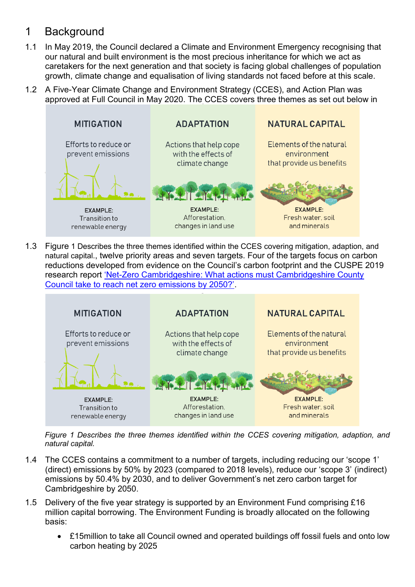## 1 Background

- 1.1 In May 2019, the Council declared a Climate and Environment Emergency recognising that our natural and built environment is the most precious inheritance for which we act as caretakers for the next generation and that society is facing global challenges of population growth, climate change and equalisation of living standards not faced before at this scale.
- 1.2 A Five-Year Climate Change and Environment Strategy (CCES), and Action Plan was [approved at Full Council in May 2020. The CCES covers three themes as set out below in](#page-1-0)



1.3 Figure 1 Describes [the three themes identified within the CCES](#page-1-0) covering mitigation, adaption, and [natural capital.](#page-1-0), twelve priority areas and seven targets. Four of the targets focus on carbon reductions developed from evidence on the Council's carbon footprint and the CUSPE 2019 research report 'Net[-Zero Cambridgeshire: What actions must Cambridgeshire County](https://data.cambridgeshireinsight.org.uk/dataset/cambridgeshire-policy-challenges-cambridge-university-science-and-policy-exchange-cuspe-8)  [Council take to reach net zero emissions by 2050?'](https://data.cambridgeshireinsight.org.uk/dataset/cambridgeshire-policy-challenges-cambridge-university-science-and-policy-exchange-cuspe-8).

<span id="page-1-0"></span>

*Figure 1 Describes the three themes identified within the CCES covering mitigation, adaption, and natural capital.*

- 1.4 The CCES contains a commitment to a number of targets, including reducing our 'scope 1' (direct) emissions by 50% by 2023 (compared to 2018 levels), reduce our 'scope 3' (indirect) emissions by 50.4% by 2030, and to deliver Government's net zero carbon target for Cambridgeshire by 2050.
- 1.5 Delivery of the five year strategy is supported by an Environment Fund comprising £16 million capital borrowing. The Environment Funding is broadly allocated on the following basis:
	- £15million to take all Council owned and operated buildings off fossil fuels and onto low carbon heating by 2025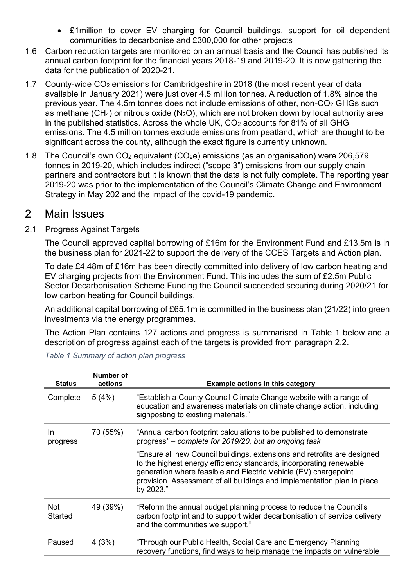- £1million to cover EV charging for Council buildings, support for oil dependent communities to decarbonise and £300,000 for other projects
- 1.6 Carbon reduction targets are monitored on an annual basis and the Council has published its annual carbon footprint for the financial years 2018-19 and 2019-20. It is now gathering the data for the publication of 2020-21.
- 1.7 County-wide CO<sup>2</sup> emissions for Cambridgeshire in 2018 (the most recent year of data available in January 2021) were just over 4.5 million tonnes. A reduction of 1.8% since the previous year. The 4.5m tonnes does not include emissions of other, non-CO $_2$  GHGs such as methane (CH<sub>4</sub>) or nitrous oxide (N<sub>2</sub>O), which are not broken down by local authority area in the published statistics. Across the whole UK,  $CO<sub>2</sub>$  accounts for 81% of all GHG emissions. The 4.5 million tonnes exclude emissions from peatland, which are thought to be significant across the county, although the exact figure is currently unknown.
- 1.8 The Council's own  $CO<sub>2</sub>$  equivalent ( $CO<sub>2</sub>e$ ) emissions (as an organisation) were 206,579 tonnes in 2019-20, which includes indirect ("scope 3") emissions from our supply chain partners and contractors but it is known that the data is not fully complete. The reporting year 2019-20 was prior to the implementation of the Council's Climate Change and Environment Strategy in May 202 and the impact of the covid-19 pandemic.

### 2 Main Issues

#### 2.1 Progress Against Targets

The Council approved capital borrowing of £16m for the Environment Fund and £13.5m is in the business plan for 2021-22 to support the delivery of the CCES Targets and Action plan.

To date £4.48m of £16m has been directly committed into delivery of low carbon heating and EV charging projects from the Environment Fund. This includes the sum of £2.5m Public Sector Decarbonisation Scheme Funding the Council succeeded securing during 2020/21 for low carbon heating for Council buildings.

An additional capital borrowing of £65.1m is committed in the business plan (21/22) into green investments via the energy programmes.

The Action Plan contains 127 actions and progress is summarised in [Table 1](#page-2-0) below and a description of progress against each of the targets is provided from paragraph 2.2.

| <b>Status</b>   | Number of<br>actions | Example actions in this category                                                                                                                                                                                                                                                                           |
|-----------------|----------------------|------------------------------------------------------------------------------------------------------------------------------------------------------------------------------------------------------------------------------------------------------------------------------------------------------------|
| Complete        | 5(4%)                | "Establish a County Council Climate Change website with a range of<br>education and awareness materials on climate change action, including<br>signposting to existing materials."                                                                                                                         |
| In.<br>progress | 70 (55%)             | "Annual carbon footprint calculations to be published to demonstrate<br>progress" – complete for 2019/20, but an ongoing task                                                                                                                                                                              |
|                 |                      | "Ensure all new Council buildings, extensions and retrofits are designed<br>to the highest energy efficiency standards, incorporating renewable<br>generation where feasible and Electric Vehicle (EV) chargepoint<br>provision. Assessment of all buildings and implementation plan in place<br>by 2023." |
| Not<br>Started  | 49 (39%)             | "Reform the annual budget planning process to reduce the Council's<br>carbon footprint and to support wider decarbonisation of service delivery<br>and the communities we support."                                                                                                                        |
| Paused          | 4(3%)                | "Through our Public Health, Social Care and Emergency Planning<br>recovery functions, find ways to help manage the impacts on vulnerable                                                                                                                                                                   |

<span id="page-2-0"></span>*Table 1 Summary of action plan progress*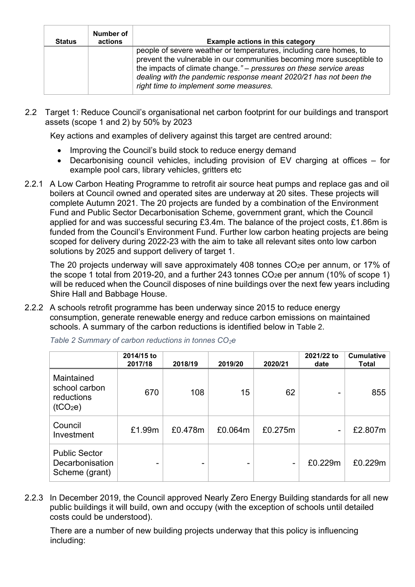| <b>Status</b> | Number of<br>actions | <b>Example actions in this category</b>                                                                                                                                                                                                                                                                                           |
|---------------|----------------------|-----------------------------------------------------------------------------------------------------------------------------------------------------------------------------------------------------------------------------------------------------------------------------------------------------------------------------------|
|               |                      | people of severe weather or temperatures, including care homes, to<br>prevent the vulnerable in our communities becoming more susceptible to<br>the impacts of climate change." – pressures on these service areas<br>dealing with the pandemic response meant 2020/21 has not been the<br>right time to implement some measures. |

2.2 Target 1: Reduce Council's organisational net carbon footprint for our buildings and transport assets (scope 1 and 2) by 50% by 2023

Key actions and examples of delivery against this target are centred around:

- Improving the Council's build stock to reduce energy demand
- Decarbonising council vehicles, including provision of EV charging at offices for example pool cars, library vehicles, gritters etc
- 2.2.1 A Low Carbon Heating Programme to retrofit air source heat pumps and replace gas and oil boilers at Council owned and operated sites are underway at 20 sites. These projects will complete Autumn 2021. The 20 projects are funded by a combination of the Environment Fund and Public Sector Decarbonisation Scheme, government grant, which the Council applied for and was successful securing £3.4m. The balance of the project costs, £1.86m is funded from the Council's Environment Fund. Further low carbon heating projects are being scoped for delivery during 2022-23 with the aim to take all relevant sites onto low carbon solutions by 2025 and support delivery of target 1.

The 20 projects underway will save approximately 408 tonnes CO<sub>2</sub>e per annum, or 17% of the scope 1 total from 2019-20, and a further 243 tonnes  $CO<sub>2</sub>e$  per annum (10% of scope 1) will be reduced when the Council disposes of nine buildings over the next few years including Shire Hall and Babbage House.

2.2.2 A schools retrofit programme has been underway since 2015 to reduce energy consumption, generate renewable energy and reduce carbon emissions on maintained schools. A summary of the carbon reductions is identified below in [Table 2](#page-3-0).

|                                                                   | 2014/15 to<br>2017/18 | 2018/19 | 2019/20 | 2020/21 | 2021/22 to<br>date | <b>Cumulative</b><br><b>Total</b> |
|-------------------------------------------------------------------|-----------------------|---------|---------|---------|--------------------|-----------------------------------|
| Maintained<br>school carbon<br>reductions<br>(tCO <sub>2</sub> e) | 670                   | 108     | 15      | 62      |                    | 855                               |
| Council<br>Investment                                             | £1.99m                | £0.478m | £0.064m | £0.275m |                    | £2.807m                           |
| <b>Public Sector</b><br>Decarbonisation<br>Scheme (grant)         |                       |         |         | ۰       | £0.229m            | £0.229m                           |

<span id="page-3-0"></span>*Table 2 Summary of carbon reductions in tonnes CO2e*

2.2.3 In December 2019, the Council approved Nearly Zero Energy Building standards for all new public buildings it will build, own and occupy (with the exception of schools until detailed costs could be understood).

There are a number of new building projects underway that this policy is influencing including: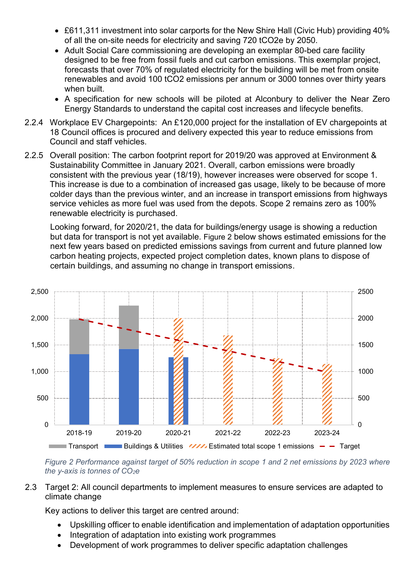- £611,311 investment into solar carports for the New Shire Hall (Civic Hub) providing 40% of all the on-site needs for electricity and saving 720 tCO2e by 2050.
- Adult Social Care commissioning are developing an exemplar 80-bed care facility designed to be free from fossil fuels and cut carbon emissions. This exemplar project, forecasts that over 70% of regulated electricity for the building will be met from onsite renewables and avoid 100 tCO2 emissions per annum or 3000 tonnes over thirty years when built.
- A specification for new schools will be piloted at Alconbury to deliver the Near Zero Energy Standards to understand the capital cost increases and lifecycle benefits.
- 2.2.4 Workplace EV Chargepoints: An £120,000 project for the installation of EV chargepoints at 18 Council offices is procured and delivery expected this year to reduce emissions from Council and staff vehicles.
- 2.2.5 Overall position: The carbon footprint report for 2019/20 was approved at Environment & Sustainability Committee in January 2021. Overall, carbon emissions were broadly consistent with the previous year (18/19), however increases were observed for scope 1. This increase is due to a combination of increased gas usage, likely to be because of more colder days than the previous winter, and an increase in transport emissions from highways service vehicles as more fuel was used from the depots. Scope 2 remains zero as 100% renewable electricity is purchased.

Looking forward, for 2020/21, the data for buildings/energy usage is showing a reduction but data for transport is not yet available. [Figure 2](#page-4-0) below shows estimated emissions for the next few years based on predicted emissions savings from current and future planned low carbon heating projects, expected project completion dates, known plans to dispose of certain buildings, and assuming no change in transport emissions.



<span id="page-4-0"></span>*Figure 2 Performance against target of 50% reduction in scope 1 and 2 net emissions by 2023 where the y-axis is tonnes of CO2e*

2.3 Target 2: All council departments to implement measures to ensure services are adapted to climate change

Key actions to deliver this target are centred around:

- Upskilling officer to enable identification and implementation of adaptation opportunities
- Integration of adaptation into existing work programmes
- Development of work programmes to deliver specific adaptation challenges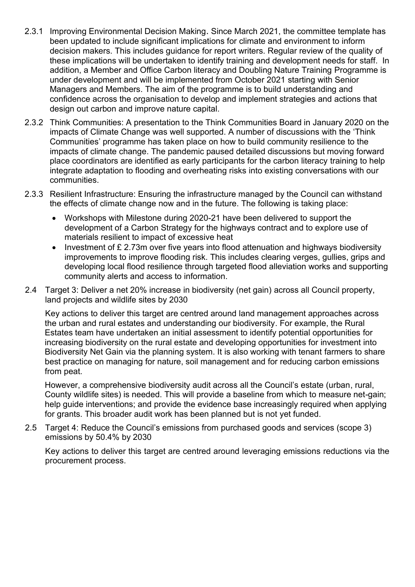- 2.3.1 Improving Environmental Decision Making. Since March 2021, the committee template has been updated to include significant implications for climate and environment to inform decision makers. This includes guidance for report writers. Regular review of the quality of these implications will be undertaken to identify training and development needs for staff. In addition, a Member and Office Carbon literacy and Doubling Nature Training Programme is under development and will be implemented from October 2021 starting with Senior Managers and Members. The aim of the programme is to build understanding and confidence across the organisation to develop and implement strategies and actions that design out carbon and improve nature capital.
- 2.3.2 Think Communities: A presentation to the Think Communities Board in January 2020 on the impacts of Climate Change was well supported. A number of discussions with the 'Think Communities' programme has taken place on how to build community resilience to the impacts of climate change. The pandemic paused detailed discussions but moving forward place coordinators are identified as early participants for the carbon literacy training to help integrate adaptation to flooding and overheating risks into existing conversations with our communities.
- 2.3.3 Resilient Infrastructure: Ensuring the infrastructure managed by the Council can withstand the effects of climate change now and in the future. The following is taking place:
	- Workshops with Milestone during 2020-21 have been delivered to support the development of a Carbon Strategy for the highways contract and to explore use of materials resilient to impact of excessive heat
	- Investment of £ 2.73m over five years into flood attenuation and highways biodiversity improvements to improve flooding risk. This includes clearing verges, gullies, grips and developing local flood resilience through targeted flood alleviation works and supporting community alerts and access to information.
- 2.4 Target 3: Deliver a net 20% increase in biodiversity (net gain) across all Council property, land projects and wildlife sites by 2030

Key actions to deliver this target are centred around land management approaches across the urban and rural estates and understanding our biodiversity. For example, the Rural Estates team have undertaken an initial assessment to identify potential opportunities for increasing biodiversity on the rural estate and developing opportunities for investment into Biodiversity Net Gain via the planning system. It is also working with tenant farmers to share best practice on managing for nature, soil management and for reducing carbon emissions from peat.

However, a comprehensive biodiversity audit across all the Council's estate (urban, rural, County wildlife sites) is needed. This will provide a baseline from which to measure net-gain; help guide interventions; and provide the evidence base increasingly required when applying for grants. This broader audit work has been planned but is not yet funded.

2.5 Target 4: Reduce the Council's emissions from purchased goods and services (scope 3) emissions by 50.4% by 2030

Key actions to deliver this target are centred around leveraging emissions reductions via the procurement process.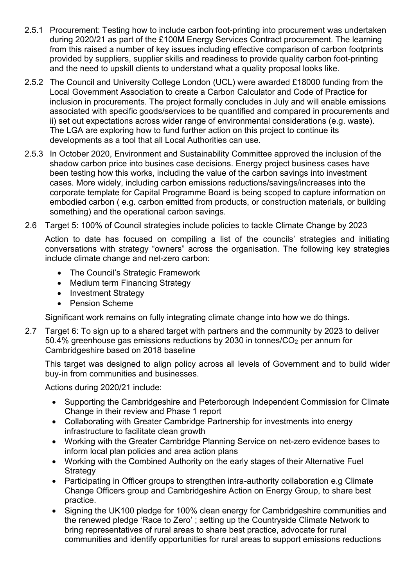- 2.5.1 Procurement: Testing how to include carbon foot-printing into procurement was undertaken during 2020/21 as part of the £100M Energy Services Contract procurement. The learning from this raised a number of key issues including effective comparison of carbon footprints provided by suppliers, supplier skills and readiness to provide quality carbon foot-printing and the need to upskill clients to understand what a quality proposal looks like.
- 2.5.2 The Council and University College London (UCL) were awarded £18000 funding from the Local Government Association to create a Carbon Calculator and Code of Practice for inclusion in procurements. The project formally concludes in July and will enable emissions associated with specific goods/services to be quantified and compared in procurements and ii) set out expectations across wider range of environmental considerations (e.g. waste). The LGA are exploring how to fund further action on this project to continue its developments as a tool that all Local Authorities can use.
- 2.5.3 In October 2020, Environment and Sustainability Committee approved the inclusion of the shadow carbon price into busines case decisions. Energy project business cases have been testing how this works, including the value of the carbon savings into investment cases. More widely, including carbon emissions reductions/savings/increases into the corporate template for Capital Programme Board is being scoped to capture information on embodied carbon ( e.g. carbon emitted from products, or construction materials, or building something) and the operational carbon savings.
- 2.6 Target 5: 100% of Council strategies include policies to tackle Climate Change by 2023

Action to date has focused on compiling a list of the councils' strategies and initiating conversations with strategy "owners" across the organisation. The following key strategies include climate change and net-zero carbon:

- The Council's Strategic Framework
- Medium term Financing Strategy
- Investment Strategy
- Pension Scheme

Significant work remains on fully integrating climate change into how we do things.

2.7 Target 6: To sign up to a shared target with partners and the community by 2023 to deliver 50.4% greenhouse gas emissions reductions by 2030 in tonnes/CO<sup>2</sup> per annum for Cambridgeshire based on 2018 baseline

This target was designed to align policy across all levels of Government and to build wider buy-in from communities and businesses.

Actions during 2020/21 include:

- Supporting the Cambridgeshire and Peterborough Independent Commission for Climate Change in their review and Phase 1 report
- Collaborating with Greater Cambridge Partnership for investments into energy infrastructure to facilitate clean growth
- Working with the Greater Cambridge Planning Service on net-zero evidence bases to inform local plan policies and area action plans
- Working with the Combined Authority on the early stages of their Alternative Fuel **Strategy**
- Participating in Officer groups to strengthen intra-authority collaboration e.g Climate Change Officers group and Cambridgeshire Action on Energy Group, to share best practice.
- Signing the UK100 pledge for 100% clean energy for Cambridgeshire communities and the renewed pledge 'Race to Zero' ; setting up the Countryside Climate Network to bring representatives of rural areas to share best practice, advocate for rural communities and identify opportunities for rural areas to support emissions reductions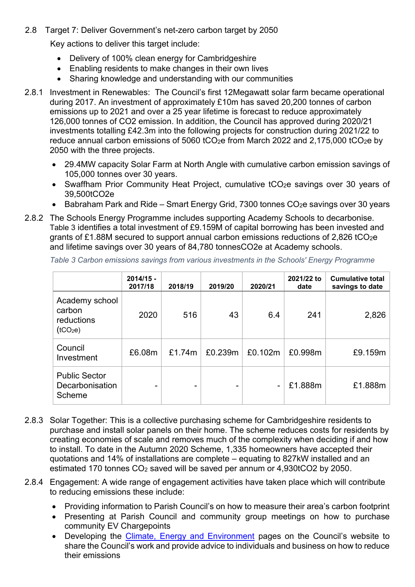2.8 Target 7: Deliver Government's net-zero carbon target by 2050

Key actions to deliver this target include:

- Delivery of 100% clean energy for Cambridgeshire
- Enabling residents to make changes in their own lives
- Sharing knowledge and understanding with our communities
- 2.8.1 Investment in Renewables: The Council's first 12Megawatt solar farm became operational during 2017. An investment of approximately £10m has saved 20,200 tonnes of carbon emissions up to 2021 and over a 25 year lifetime is forecast to reduce approximately 126,000 tonnes of CO2 emission. In addition, the Council has approved during 2020/21 investments totalling £42.3m into the following projects for construction during 2021/22 to reduce annual carbon emissions of 5060 tCO<sub>2</sub>e from March 2022 and 2,175,000 tCO<sub>2</sub>e by 2050 with the three projects.
	- 29.4MW capacity Solar Farm at North Angle with cumulative carbon emission savings of 105,000 tonnes over 30 years.
	- Swaffham Prior Community Heat Project, cumulative tCO<sub>2</sub>e savings over 30 years of 39,500tCO2e
	- Babraham Park and Ride Smart Energy Grid, 7300 tonnes  $CO<sub>2</sub>e$  savings over 30 years
- 2.8.2 The Schools Energy Programme includes supporting Academy Schools to decarbonise. [Table 3](#page-7-0) identifies a total investment of £9.159M of capital borrowing has been invested and grants of £1.88M secured to support annual carbon emissions reductions of 2.826 tCO2e and lifetime savings over 30 years of 84,780 tonnesCO2e at Academy schools.

|                                                                | $2014/15 -$<br>2017/18 | 2018/19 | 2019/20 | 2020/21 | 2021/22 to<br>date | <b>Cumulative total</b><br>savings to date |
|----------------------------------------------------------------|------------------------|---------|---------|---------|--------------------|--------------------------------------------|
| Academy school<br>carbon<br>reductions<br>(tCO <sub>2</sub> e) | 2020                   | 516     | 43      | 6.4     | 241                | 2,826                                      |
| Council<br>Investment                                          | £6.08m                 | £1.74m  | £0.239m | £0.102m | £0.998m            | £9.159m                                    |
| <b>Public Sector</b><br>Decarbonisation<br>Scheme              |                        |         |         |         | £1.888m            | £1.888m                                    |

<span id="page-7-0"></span>*Table 3 Carbon emissions savings from various investments in the Schools' Energy Programme*

- 2.8.3 Solar Together: This is a collective purchasing scheme for Cambridgeshire residents to purchase and install solar panels on their home. The scheme reduces costs for residents by creating economies of scale and removes much of the complexity when deciding if and how to install. To date in the Autumn 2020 Scheme, 1,335 homeowners have accepted their quotations and 14% of installations are complete – equating to 827kW installed and an estimated 170 tonnes CO<sup>2</sup> saved will be saved per annum or 4,930tCO2 by 2050.
- 2.8.4 Engagement: A wide range of engagement activities have taken place which will contribute to reducing emissions these include:
	- Providing information to Parish Council's on how to measure their area's carbon footprint
	- Presenting at Parish Council and community group meetings on how to purchase community EV Chargepoints
	- Developing the [Climate, Energy and Environment](https://www.cambridgeshire.gov.uk/residents/climate-change-energy-and-environment/how-you-can-take-action/sustainable-transport) pages on the Council's website to share the Council's work and provide advice to individuals and business on how to reduce their emissions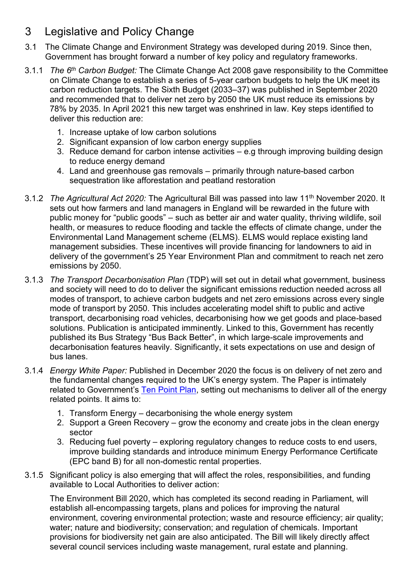## 3 Legislative and Policy Change

- 3.1 The Climate Change and Environment Strategy was developed during 2019. Since then, Government has brought forward a number of key policy and regulatory frameworks.
- 3.1.1 *The 6th Carbon Budget:* The Climate Change Act 2008 gave responsibility to the Committee on Climate Change to establish a series of 5-year carbon budgets to help the UK meet its carbon reduction targets. The Sixth Budget (2033–37) was published in September 2020 and recommended that to deliver net zero by 2050 the UK must reduce its emissions by 78% by 2035. In April 2021 this new target was enshrined in law. Key steps identified to deliver this reduction are:
	- 1. Increase uptake of low carbon solutions
	- 2. Significant expansion of low carbon energy supplies
	- 3. Reduce demand for carbon intense activities e.g through improving building design to reduce energy demand
	- 4. Land and greenhouse gas removals primarily through nature-based carbon sequestration like afforestation and peatland restoration
- 3.1.2 *The Agricultural Act 2020:* The Agricultural Bill was passed into law 11th November 2020. It sets out how farmers and land managers in England will be rewarded in the future with public money for "public goods" – such as better air and water quality, thriving wildlife, soil health, or measures to reduce flooding and tackle the effects of climate change, under the Environmental Land Management scheme (ELMS). ELMS would replace existing land management subsidies. These incentives will provide financing for landowners to aid in delivery of the government's 25 Year Environment Plan and commitment to reach net zero emissions by 2050.
- 3.1.3 *The Transport Decarbonisation Plan* (TDP) will set out in detail what government, business and society will need to do to deliver the significant emissions reduction needed across all modes of transport, to achieve carbon budgets and net zero emissions across every single mode of transport by 2050. This includes accelerating model shift to public and active transport, decarbonising road vehicles, decarbonising how we get goods and place-based solutions. Publication is anticipated imminently. Linked to this, Government has recently published its Bus Strategy "Bus Back Better", in which large-scale improvements and decarbonisation features heavily. Significantly, it sets expectations on use and design of bus lanes.
- 3.1.4 *Energy White Paper:* Published in December 2020 the focus is on delivery of net zero and the fundamental changes required to the UK's energy system. The Paper is intimately related to Government's [Ten Point Plan,](https://assets.publishing.service.gov.uk/government/uploads/system/uploads/attachment_data/file/936567/10_POINT_PLAN_BOOKLET.pdf) setting out mechanisms to deliver all of the energy related points. It aims to:
	- 1. Transform Energy decarbonising the whole energy system
	- 2. Support a Green Recovery grow the economy and create jobs in the clean energy sector
	- 3. Reducing fuel poverty exploring regulatory changes to reduce costs to end users, improve building standards and introduce minimum Energy Performance Certificate (EPC band B) for all non-domestic rental properties.
- 3.1.5 Significant policy is also emerging that will affect the roles, responsibilities, and funding available to Local Authorities to deliver action:

The Environment Bill 2020, which has completed its second reading in Parliament, will establish all-encompassing targets, plans and polices for improving the natural environment, covering environmental protection; waste and resource efficiency; air quality; water; nature and biodiversity; conservation; and regulation of chemicals. Important provisions for biodiversity net gain are also anticipated. The Bill will likely directly affect several council services including waste management, rural estate and planning.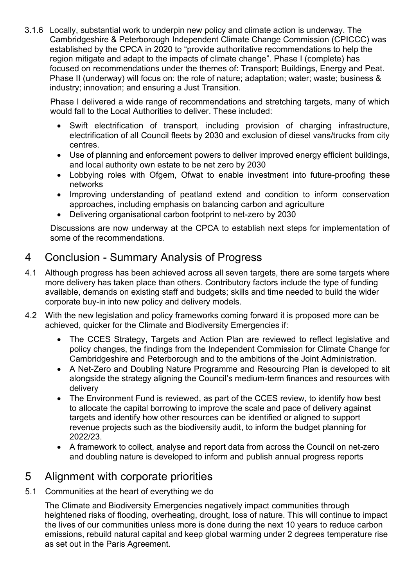3.1.6 Locally, substantial work to underpin new policy and climate action is underway. The Cambridgeshire & Peterborough Independent Climate Change Commission (CPICCC) was established by the CPCA in 2020 to "provide authoritative recommendations to help the region mitigate and adapt to the impacts of climate change". Phase I (complete) has focused on recommendations under the themes of: Transport; Buildings, Energy and Peat. Phase II (underway) will focus on: the role of nature; adaptation; water; waste; business & industry; innovation; and ensuring a Just Transition.

Phase I delivered a wide range of recommendations and stretching targets, many of which would fall to the Local Authorities to deliver. These included:

- Swift electrification of transport, including provision of charging infrastructure, electrification of all Council fleets by 2030 and exclusion of diesel vans/trucks from city centres.
- Use of planning and enforcement powers to deliver improved energy efficient buildings, and local authority own estate to be net zero by 2030
- Lobbying roles with Ofgem, Ofwat to enable investment into future-proofing these networks
- Improving understanding of peatland extend and condition to inform conservation approaches, including emphasis on balancing carbon and agriculture
- Delivering organisational carbon footprint to net-zero by 2030

Discussions are now underway at the CPCA to establish next steps for implementation of some of the recommendations.

## 4 Conclusion - Summary Analysis of Progress

- 4.1 Although progress has been achieved across all seven targets, there are some targets where more delivery has taken place than others. Contributory factors include the type of funding available, demands on existing staff and budgets; skills and time needed to build the wider corporate buy-in into new policy and delivery models.
- 4.2 With the new legislation and policy frameworks coming forward it is proposed more can be achieved, quicker for the Climate and Biodiversity Emergencies if:
	- The CCES Strategy, Targets and Action Plan are reviewed to reflect legislative and policy changes, the findings from the Independent Commission for Climate Change for Cambridgeshire and Peterborough and to the ambitions of the Joint Administration.
	- A Net-Zero and Doubling Nature Programme and Resourcing Plan is developed to sit alongside the strategy aligning the Council's medium-term finances and resources with delivery
	- The Environment Fund is reviewed, as part of the CCES review, to identify how best to allocate the capital borrowing to improve the scale and pace of delivery against targets and identify how other resources can be identified or aligned to support revenue projects such as the biodiversity audit, to inform the budget planning for 2022/23.
	- A framework to collect, analyse and report data from across the Council on net-zero and doubling nature is developed to inform and publish annual progress reports

## 5 Alignment with corporate priorities

5.1 Communities at the heart of everything we do

The Climate and Biodiversity Emergencies negatively impact communities through heightened risks of flooding, overheating, drought, loss of nature. This will continue to impact the lives of our communities unless more is done during the next 10 years to reduce carbon emissions, rebuild natural capital and keep global warming under 2 degrees temperature rise as set out in the Paris Agreement.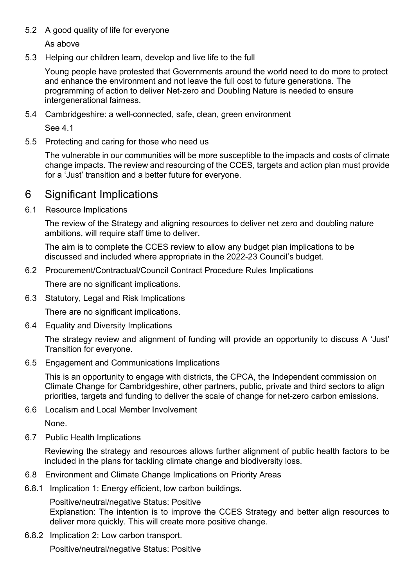#### 5.2 A good quality of life for everyone

As above

5.3 Helping our children learn, develop and live life to the full

Young people have protested that Governments around the world need to do more to protect and enhance the environment and not leave the full cost to future generations. The programming of action to deliver Net-zero and Doubling Nature is needed to ensure intergenerational fairness.

5.4 Cambridgeshire: a well-connected, safe, clean, green environment

See 4.1

5.5 Protecting and caring for those who need us

The vulnerable in our communities will be more susceptible to the impacts and costs of climate change impacts. The review and resourcing of the CCES, targets and action plan must provide for a 'Just' transition and a better future for everyone.

### 6 Significant Implications

6.1 Resource Implications

The review of the Strategy and aligning resources to deliver net zero and doubling nature ambitions, will require staff time to deliver.

The aim is to complete the CCES review to allow any budget plan implications to be discussed and included where appropriate in the 2022-23 Council's budget.

6.2 Procurement/Contractual/Council Contract Procedure Rules Implications

There are no significant implications.

6.3 Statutory, Legal and Risk Implications

There are no significant implications.

6.4 Equality and Diversity Implications

The strategy review and alignment of funding will provide an opportunity to discuss A 'Just' Transition for everyone.

6.5 Engagement and Communications Implications

This is an opportunity to engage with districts, the CPCA, the Independent commission on Climate Change for Cambridgeshire, other partners, public, private and third sectors to align priorities, targets and funding to deliver the scale of change for net-zero carbon emissions.

6.6 Localism and Local Member Involvement

None.

6.7 Public Health Implications

Reviewing the strategy and resources allows further alignment of public health factors to be included in the plans for tackling climate change and biodiversity loss.

- 6.8 Environment and Climate Change Implications on Priority Areas
- <span id="page-10-0"></span>6.8.1 Implication 1: Energy efficient, low carbon buildings.

Positive/neutral/negative Status: Positive Explanation: The intention is to improve the CCES Strategy and better align resources to deliver more quickly. This will create more positive change.

6.8.2 Implication 2: Low carbon transport.

Positive/neutral/negative Status: Positive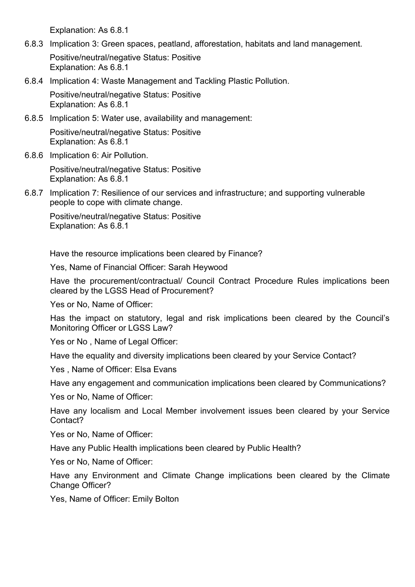Explanation: As [6.8.1](#page-10-0)

6.8.3 Implication 3: Green spaces, peatland, afforestation, habitats and land management.

Positive/neutral/negative Status: Positive Explanation: As [6.8.1](#page-10-0)

6.8.4 Implication 4: Waste Management and Tackling Plastic Pollution.

Positive/neutral/negative Status: Positive Explanation: As [6.8.1](#page-10-0)

6.8.5 Implication 5: Water use, availability and management:

Positive/neutral/negative Status: Positive Explanation: As [6.8.1](#page-10-0)

6.8.6 Implication 6: Air Pollution.

Positive/neutral/negative Status: Positive Explanation: As [6.8.1](#page-10-0)

6.8.7 Implication 7: Resilience of our services and infrastructure; and supporting vulnerable people to cope with climate change.

Positive/neutral/negative Status: Positive Explanation: As [6.8.1](#page-10-0)

Have the resource implications been cleared by Finance?

Yes, Name of Financial Officer: Sarah Heywood

Have the procurement/contractual/ Council Contract Procedure Rules implications been cleared by the LGSS Head of Procurement?

Yes or No, Name of Officer:

Has the impact on statutory, legal and risk implications been cleared by the Council's Monitoring Officer or LGSS Law?

Yes or No. Name of Legal Officer:

Have the equality and diversity implications been cleared by your Service Contact?

Yes , Name of Officer: Elsa Evans

Have any engagement and communication implications been cleared by Communications?

Yes or No, Name of Officer:

Have any localism and Local Member involvement issues been cleared by your Service Contact?

Yes or No, Name of Officer:

Have any Public Health implications been cleared by Public Health?

Yes or No, Name of Officer:

Have any Environment and Climate Change implications been cleared by the Climate Change Officer?

Yes, Name of Officer: Emily Bolton